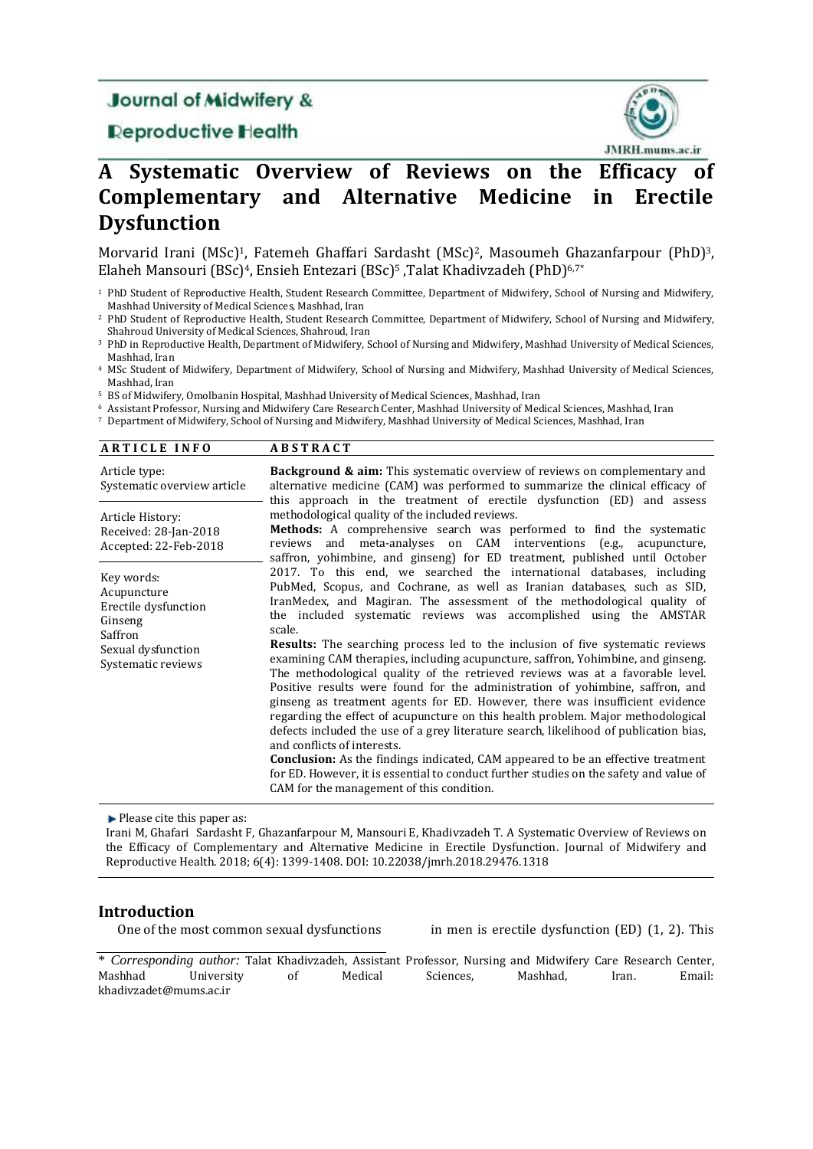# **Journal of Midwifery &**

# **Deproductive Health**



# **A Systematic Overview of Reviews on the Efficacy of Complementary and Alternative Medicine in Erectile Dysfunction**

Morvarid Irani (MSc)<sup>1</sup>, Fatemeh Ghaffari Sardasht (MSc)<sup>2</sup>, Masoumeh Ghazanfarpour (PhD)<sup>3</sup>, Elaheh Mansouri (BSc)<sup>4</sup>, Ensieh Entezari (BSc)<sup>5</sup>, Talat Khadivzadeh (PhD)<sup>6,7\*</sup>

- <sup>1</sup> PhD Student of Reproductive Health, Student Research Committee, Department of Midwifery, School of Nursing and Midwifery, Mashhad University of Medical Sciences, Mashhad, Iran
- <sup>2</sup> PhD Student of Reproductive Health, Student Research Committee, Department of Midwifery, School of Nursing and Midwifery, Shahroud University of Medical Sciences, Shahroud, Iran
- <sup>3</sup> PhD in Reproductive Health, Department of Midwifery, School of Nursing and Midwifery, Mashhad University of Medical Sciences, Mashhad, Iran
- <sup>4</sup> MSc Student of Midwifery, Department of Midwifery, School of Nursing and Midwifery, Mashhad University of Medical Sciences, Mashhad, Iran
- <sup>5</sup> BS of Midwifery, Omolbanin Hospital, Mashhad University of Medical Sciences, Mashhad, Iran
- <sup>6</sup> Assistant Professor, Nursing and Midwifery Care Research Center, Mashhad University of Medical Sciences, Mashhad, Iran
- <sup>7</sup> Department of Midwifery, School of Nursing and Midwifery, Mashhad University of Medical Sciences, Mashhad, Iran

| <b>ARTICLE INFO</b> | <b>ABSTRACT</b> |
|---------------------|-----------------|
|---------------------|-----------------|

| Article type:<br>Systematic overview article                                                                        | <b>Background &amp; aim:</b> This systematic overview of reviews on complementary and<br>alternative medicine (CAM) was performed to summarize the clinical efficacy of<br>this approach in the treatment of erectile dysfunction (ED) and assess                                                                                                                                                                                                                                                                                                                                                                                                                                                                                                                                                                                                                                                                                                                                                                                                                                                                                           |  |  |  |  |  |  |
|---------------------------------------------------------------------------------------------------------------------|---------------------------------------------------------------------------------------------------------------------------------------------------------------------------------------------------------------------------------------------------------------------------------------------------------------------------------------------------------------------------------------------------------------------------------------------------------------------------------------------------------------------------------------------------------------------------------------------------------------------------------------------------------------------------------------------------------------------------------------------------------------------------------------------------------------------------------------------------------------------------------------------------------------------------------------------------------------------------------------------------------------------------------------------------------------------------------------------------------------------------------------------|--|--|--|--|--|--|
| Article History:<br>Received: 28-Jan-2018<br>Accepted: 22-Feb-2018                                                  | methodological quality of the included reviews.<br>Methods: A comprehensive search was performed to find the systematic<br>and meta-analyses on CAM interventions (e.g.,<br>reviews<br>acupuncture,<br>saffron, yohimbine, and ginseng) for ED treatment, published until October                                                                                                                                                                                                                                                                                                                                                                                                                                                                                                                                                                                                                                                                                                                                                                                                                                                           |  |  |  |  |  |  |
| Key words:<br>Acupuncture<br>Erectile dysfunction<br>Ginseng<br>Saffron<br>Sexual dysfunction<br>Systematic reviews | 2017. To this end, we searched the international databases, including<br>PubMed, Scopus, and Cochrane, as well as Iranian databases, such as SID,<br>IranMedex, and Magiran. The assessment of the methodological quality of<br>the included systematic reviews was accomplished using the AMSTAR<br>scale.<br><b>Results:</b> The searching process led to the inclusion of five systematic reviews<br>examining CAM therapies, including acupuncture, saffron, Yohimbine, and ginseng.<br>The methodological quality of the retrieved reviews was at a favorable level.<br>Positive results were found for the administration of yohimbine, saffron, and<br>ginseng as treatment agents for ED. However, there was insufficient evidence<br>regarding the effect of acupuncture on this health problem. Major methodological<br>defects included the use of a grey literature search, likelihood of publication bias,<br>and conflicts of interests.<br><b>Conclusion:</b> As the findings indicated, CAM appeared to be an effective treatment<br>for ED. However, it is essential to conduct further studies on the safety and value of |  |  |  |  |  |  |
|                                                                                                                     | CAM for the management of this condition.                                                                                                                                                                                                                                                                                                                                                                                                                                                                                                                                                                                                                                                                                                                                                                                                                                                                                                                                                                                                                                                                                                   |  |  |  |  |  |  |

 $\blacktriangleright$  Please cite this paper as:

Irani M, Ghafari Sardasht F, Ghazanfarpour M, Mansouri E, Khadivzadeh T. A Systematic Overview of Reviews on the Efficacy of Complementary and Alternative Medicine in Erectile Dysfunction. Journal of Midwifery and Reproductive Health. 2018; 6(4): 1399-1408. DOI: 10.22038/jmrh.2018.29476.1318

# **Introduction**

One of the most common sexual dysfunctions in men is erectile dysfunction (ED) (1, 2). This

<sup>\*</sup> *Corresponding author:* Talat Khadivzadeh, Assistant Professor, Nursing and Midwifery Care Research Center, Mashhad University of Medical Sciences, Mashhad, Iran. Email: khadivzadet@mums.ac.ir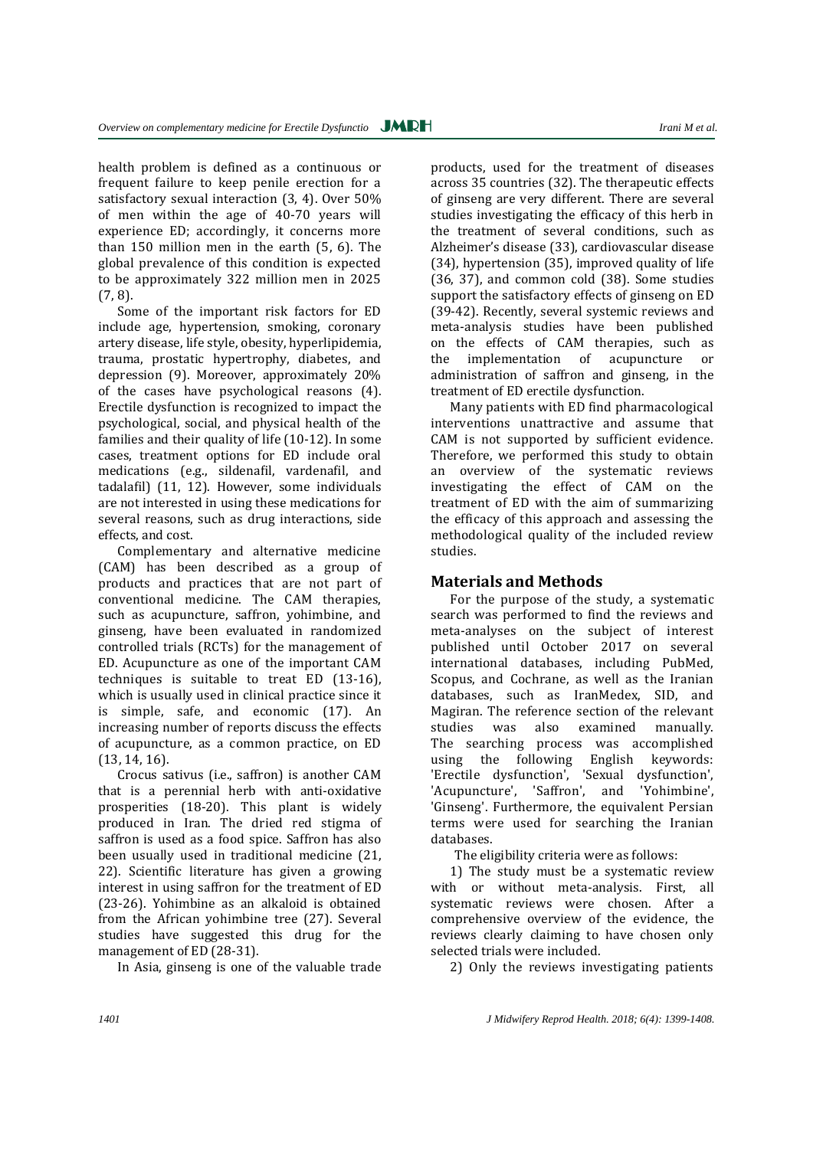health problem is defined as a continuous or frequent failure to keep penile erection for a satisfactory sexual interaction (3, 4). Over 50% of men within the age of 40-70 years will experience ED; accordingly, it concerns more than 150 million men in the earth (5, 6). The global prevalence of this condition is expected to be approximately 322 million men in 2025 (7, 8).

Some of the important risk factors for ED include age, hypertension, smoking, coronary artery disease, life style, obesity, hyperlipidemia, trauma, prostatic hypertrophy, diabetes, and depression (9). Moreover, approximately 20% of the cases have psychological reasons (4). Erectile dysfunction is recognized to impact the psychological, social, and physical health of the families and their quality of life (10-12). In some cases, treatment options for ED include oral medications (e.g., sildenafil, vardenafil, and tadalafil) (11, 12). However, some individuals are not interested in using these medications for several reasons, such as drug interactions, side effects, and cost.

Complementary and alternative medicine (CAM) has been described as a group of products and practices that are not part of conventional medicine. The CAM therapies, such as acupuncture, saffron, yohimbine, and ginseng, have been evaluated in randomized controlled trials (RCTs) for the management of ED. Acupuncture as one of the important CAM techniques is suitable to treat ED (13-16), which is usually used in clinical practice since it is simple, safe, and economic (17). An increasing number of reports discuss the effects of acupuncture, as a common practice, on ED (13, 14, 16).

Crocus sativus (i.e., saffron) is another CAM that is a perennial herb with anti-oxidative prosperities (18-20). This plant is widely produced in Iran. The dried red stigma of saffron is used as a food spice. Saffron has also been usually used in traditional medicine (21, 22). Scientific literature has given a growing interest in using saffron for the treatment of ED (23-26). Yohimbine as an alkaloid is obtained from the African yohimbine tree (27). Several studies have suggested this drug for the management of ED (28-31).

In Asia, ginseng is one of the valuable trade

products, used for the treatment of diseases across 35 countries (32). The therapeutic effects of ginseng are very different. There are several studies investigating the efficacy of this herb in the treatment of several conditions, such as Alzheimer's disease (33), cardiovascular disease (34), hypertension (35), improved quality of life (36, 37), and common cold (38). Some studies support the satisfactory effects of ginseng on ED (39-42). Recently, several systemic reviews and meta-analysis studies have been published on the effects of CAM therapies, such as the implementation of acupuncture or administration of saffron and ginseng, in the treatment of ED erectile dysfunction.

Many patients with ED find pharmacological interventions unattractive and assume that CAM is not supported by sufficient evidence. Therefore, we performed this study to obtain an overview of the systematic reviews investigating the effect of CAM on the treatment of ED with the aim of summarizing the efficacy of this approach and assessing the methodological quality of the included review studies.

# **Materials and Methods**

For the purpose of the study, a systematic search was performed to find the reviews and meta-analyses on the subject of interest published until October 2017 on several international databases, including PubMed, Scopus, and Cochrane, as well as the Iranian databases, such as IranMedex, SID, and Magiran. The reference section of the relevant studies was also examined manually. The searching process was accomplished using the following English keywords: 'Erectile dysfunction', 'Sexual dysfunction', 'Acupuncture', 'Saffron', and 'Yohimbine', 'Ginseng'. Furthermore, the equivalent Persian terms were used for searching the Iranian databases.

The eligibility criteria were as follows:

1) The study must be a systematic review with or without meta-analysis. First, all systematic reviews were chosen. After a comprehensive overview of the evidence, the reviews clearly claiming to have chosen only selected trials were included.

2) Only the reviews investigating patients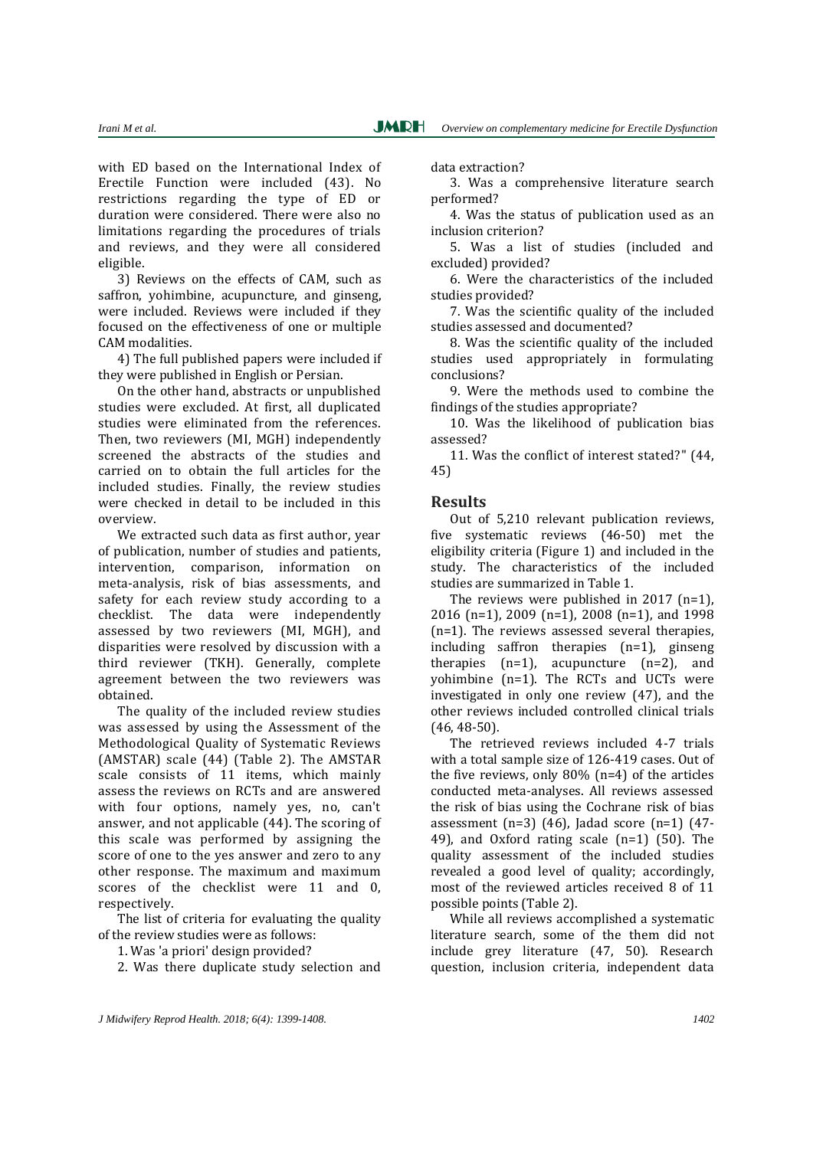with ED based on the International Index of Erectile Function were included (43). No restrictions regarding the type of ED or duration were considered. There were also no limitations regarding the procedures of trials and reviews, and they were all considered eligible.

3) Reviews on the effects of CAM, such as saffron, yohimbine, acupuncture, and ginseng, were included. Reviews were included if they focused on the effectiveness of one or multiple CAM modalities.

4) The full published papers were included if they were published in English or Persian.

On the other hand, abstracts or unpublished studies were excluded. At first, all duplicated studies were eliminated from the references. Then, two reviewers (MI, MGH) independently screened the abstracts of the studies and carried on to obtain the full articles for the included studies. Finally, the review studies were checked in detail to be included in this overview.

We extracted such data as first author, year of publication, number of studies and patients, intervention, comparison, information on meta-analysis, risk of bias assessments, and safety for each review study according to a checklist. The data were independently assessed by two reviewers (MI, MGH), and disparities were resolved by discussion with a third reviewer (TKH). Generally, complete agreement between the two reviewers was obtained.

The quality of the included review studies was assessed by using the Assessment of the Methodological Quality of Systematic Reviews (AMSTAR) scale (44) (Table 2). The AMSTAR scale consists of 11 items, which mainly assess the reviews on RCTs and are answered with four options, namely yes, no, can't answer, and not applicable (44). The scoring of this scale was performed by assigning the score of one to the yes answer and zero to any other response. The maximum and maximum scores of the checklist were 11 and 0, respectively.

The list of criteria for evaluating the quality of the review studies were as follows:

1. Was 'a priori' design provided?

2. Was there duplicate study selection and

data extraction?

3. Was a comprehensive literature search performed?

4. Was the status of publication used as an inclusion criterion?

5. Was a list of studies (included and excluded) provided?

6. Were the characteristics of the included studies provided?

7. Was the scientific quality of the included studies assessed and documented?

8. Was the scientific quality of the included studies used appropriately in formulating conclusions?

9. Were the methods used to combine the findings of the studies appropriate?

10. Was the likelihood of publication bias assessed?

11. Was the conflict of interest stated?" (44, 45)

#### **Results**

Out of 5,210 relevant publication reviews, five systematic reviews (46-50) met the eligibility criteria (Figure 1) and included in the study. The characteristics of the included studies are summarized in Table 1.

The reviews were published in 2017 (n=1), 2016 (n=1), 2009 (n=1), 2008 (n=1), and 1998 (n=1). The reviews assessed several therapies, including saffron therapies (n=1), ginseng therapies  $(n=1)$ , acupuncture  $(n=2)$ , and yohimbine  $(n=1)$ . The RCTs and UCTs were investigated in only one review (47), and the other reviews included controlled clinical trials (46, 48-50).

The retrieved reviews included 4-7 trials with a total sample size of 126-419 cases. Out of the five reviews, only 80% (n=4) of the articles conducted meta-analyses. All reviews assessed the risk of bias using the Cochrane risk of bias assessment  $(n=3)$  (46), Jadad score  $(n=1)$  (47-49), and Oxford rating scale (n=1) (50). The quality assessment of the included studies revealed a good level of quality; accordingly, most of the reviewed articles received 8 of 11 possible points (Table 2).

While all reviews accomplished a systematic literature search, some of the them did not include grey literature (47, 50). Research question, inclusion criteria, independent data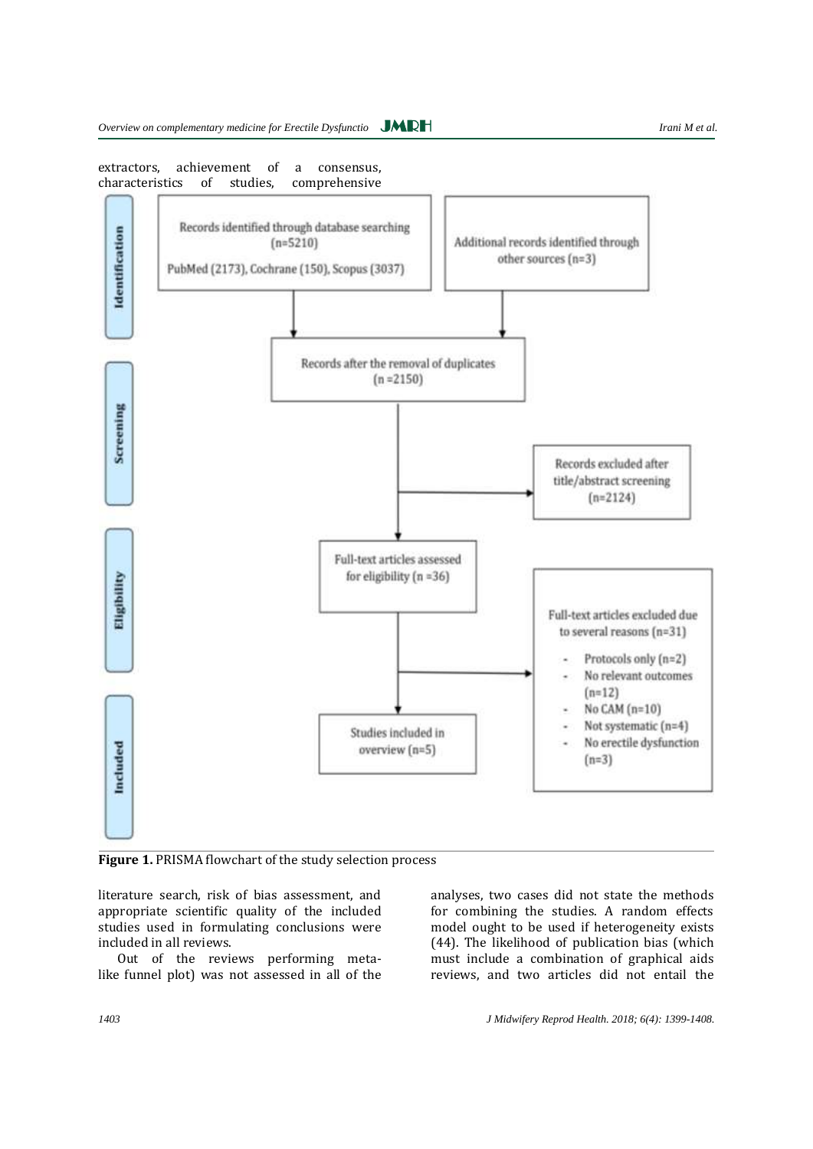extractors, achievement of a consensus, characteristics of studies, comprehensive



**Figure 1.** PRISMA flowchart of the study selection process

literature search, risk of bias assessment, and appropriate scientific quality of the included studies used in formulating conclusions were included in all reviews.

Out of the reviews performing metalike funnel plot) was not assessed in all of the reviews, and two articles did not entail the

analyses, two cases did not state the methods for combining the studies. A random effects model ought to be used if heterogeneity exists (44). The likelihood of publication bias (which must include a combination of graphical aids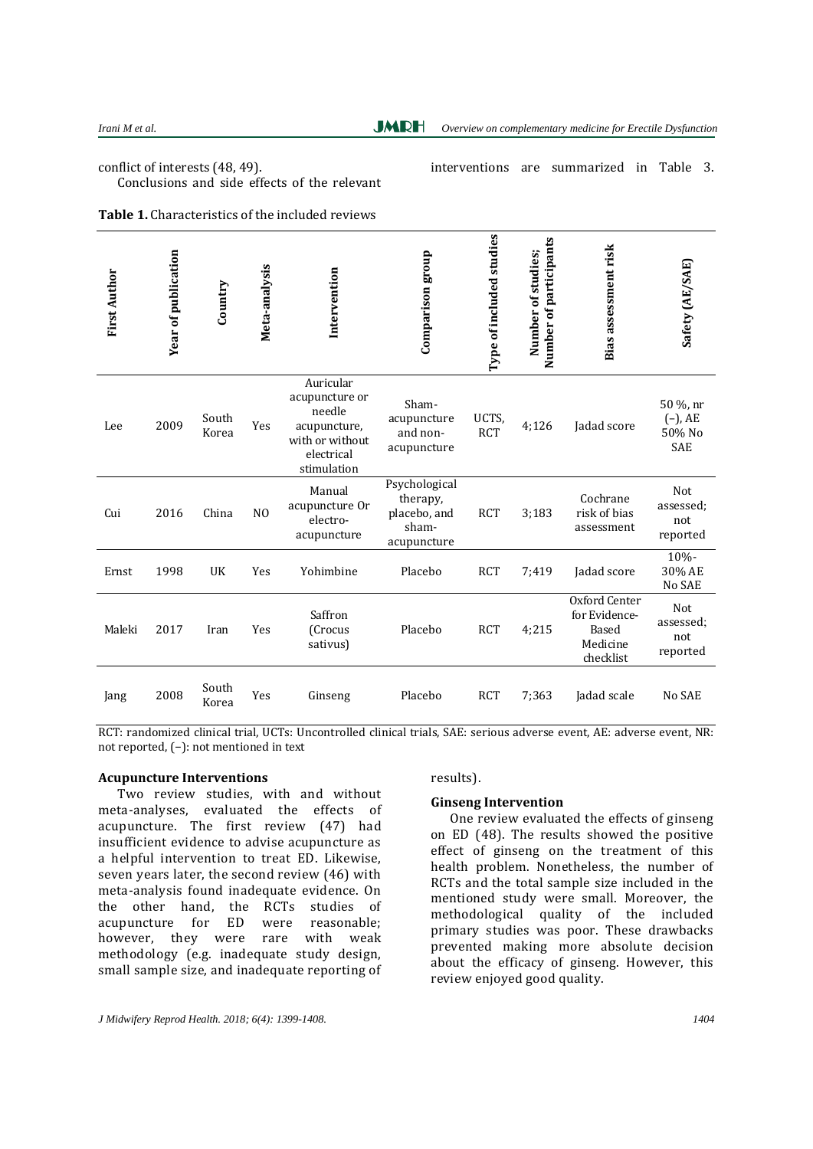**JMRH** 

conflict of interests (48, 49). Conclusions and side effects of the relevant interventions are summarized in Table 3.

| <b>Table 1.</b> Characteristics of the included reviews |  |
|---------------------------------------------------------|--|
|---------------------------------------------------------|--|

| <b>First Author</b> | <b>Year of publication</b> | Country        | Meta-analysis  | Intervention                                                                                          | Comparison group                                                  | Type of included studies | Number of participants<br>Number of studies; | <b>Bias assessment risk</b>                                      | Safety (AE/SAE)                                |
|---------------------|----------------------------|----------------|----------------|-------------------------------------------------------------------------------------------------------|-------------------------------------------------------------------|--------------------------|----------------------------------------------|------------------------------------------------------------------|------------------------------------------------|
| Lee                 | 2009                       | South<br>Korea | Yes            | Auricular<br>acupuncture or<br>needle<br>acupuncture,<br>with or without<br>electrical<br>stimulation | Sham-<br>acupuncture<br>and non-<br>acupuncture                   | UCTS,<br><b>RCT</b>      | 4:126                                        | Jadad score                                                      | 50 %, nr<br>$(-)$ , AE<br>50% No<br><b>SAE</b> |
| Cui                 | 2016                       | China          | N <sub>O</sub> | Manual<br>acupuncture Or<br>electro-<br>acupuncture                                                   | Psychological<br>therapy,<br>placebo, and<br>sham-<br>acupuncture | <b>RCT</b>               | 3;183                                        | Cochrane<br>risk of bias<br>assessment                           | Not<br>assessed;<br>not<br>reported            |
| Ernst               | 1998                       | UK             | Yes            | Yohimbine                                                                                             | Placebo                                                           | <b>RCT</b>               | 7:419                                        | Jadad score                                                      | 10%-<br>30% AE<br>No SAE                       |
| Maleki              | 2017                       | Iran           | Yes            | Saffron<br>(Crocus<br>sativus)                                                                        | Placebo                                                           | <b>RCT</b>               | 4:215                                        | Oxford Center<br>for Evidence-<br>Based<br>Medicine<br>checklist | Not<br>assessed:<br>not<br>reported            |
| Jang                | 2008                       | South<br>Korea | Yes            | Ginseng                                                                                               | Placebo                                                           | <b>RCT</b>               | 7:363                                        | Jadad scale                                                      | No SAE                                         |

RCT: randomized clinical trial, UCTs: Uncontrolled clinical trials, SAE: serious adverse event, AE: adverse event, NR: not reported, (−): not mentioned in text

# **Acupuncture Interventions**

Two review studies, with and without meta-analyses, evaluated the effects of acupuncture. The first review (47) had insufficient evidence to advise acupuncture as a helpful intervention to treat ED. Likewise, seven years later, the second review (46) with meta-analysis found inadequate evidence. On the other hand, the RCTs studies of acupuncture for ED were reasonable; however, they were rare with weak methodology (e.g. inadequate study design, small sample size, and inadequate reporting of

results).

#### **Ginseng Intervention**

One review evaluated the effects of ginseng on ED (48). The results showed the positive effect of ginseng on the treatment of this health problem. Nonetheless, the number of RCTs and the total sample size included in the mentioned study were small. Moreover, the methodological quality of the included primary studies was poor. These drawbacks prevented making more absolute decision about the efficacy of ginseng. However, this review enjoyed good quality.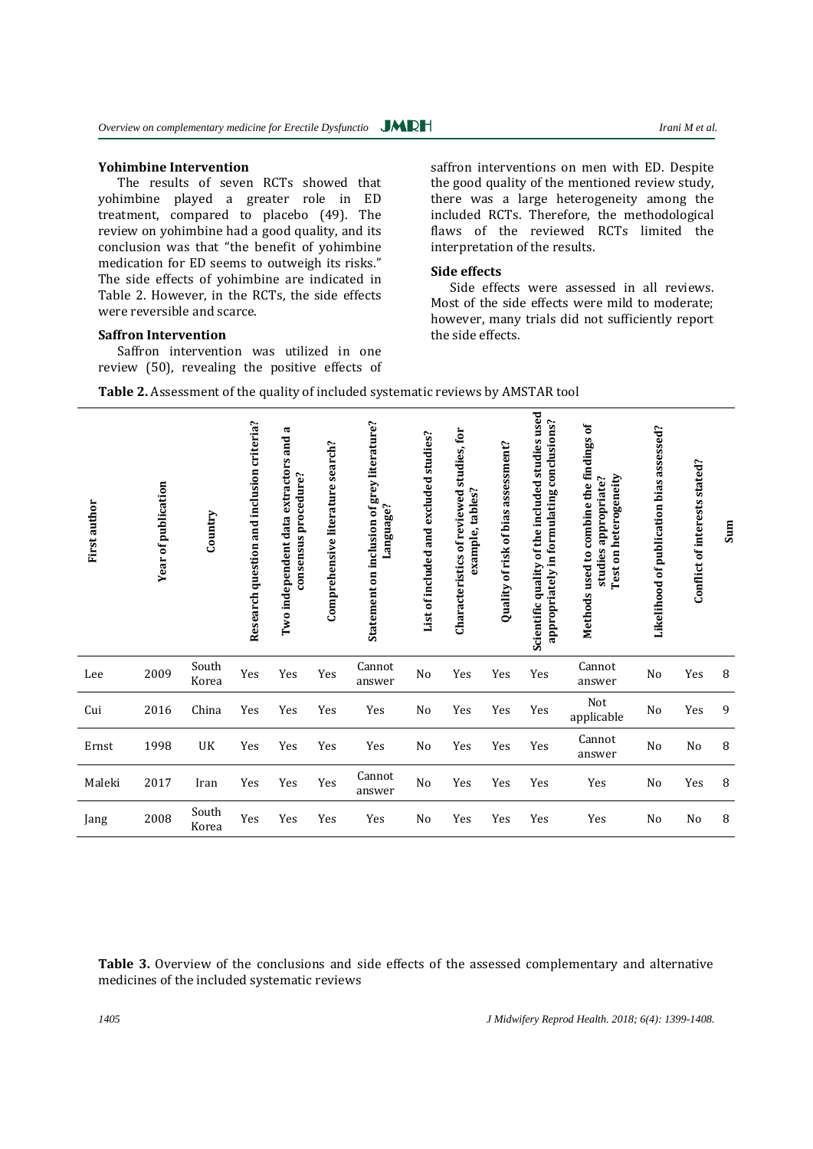#### **Yohimbine Intervention**

The results of seven RCTs showed that yohimbine played a greater role in ED treatment, compared to placebo (49). The review on yohimbine had a good quality, and its conclusion was that "the benefit of yohimbine medication for ED seems to outweigh its risks." The side effects of yohimbine are indicated in Table 2. However, in the RCTs, the side effects were reversible and scarce.

# **Saffron Intervention**

Saffron intervention was utilized in one review (50), revealing the positive effects of

saffron interventions on men with ED. Despite the good quality of the mentioned review study, there was a large heterogeneity among the included RCTs. Therefore, the methodological flaws of the reviewed RCTs limited the interpretation of the results.

#### **Side effects**

Side effects were assessed in all reviews. Most of the side effects were mild to moderate; however, many trials did not sufficiently report the side effects.

| Table 2. Assessment of the quality of included systematic reviews by AMSTAR tool |  |  |
|----------------------------------------------------------------------------------|--|--|
|----------------------------------------------------------------------------------|--|--|

| First author | <b>Year of publication</b> | Country        | Research question and inclusion criteria? | π<br>Two independent data extractors and<br>consensus procedure? | Comprehensive literature search? | Statement on inclusion of grey literature?<br>Language? | List of included and excluded studies? | studies, for<br>example, tables?<br>Characteristics of reviewed | Quality of risk of bias assessment? | Scientific quality of the included studies used<br>appropriately in formulating conclusions? | Methods used to combine the findings of<br>Test on heterogeneity<br>studies appropriate? | Likelihood of publication bias assessed? | Conflict of interests stated? | Sum |
|--------------|----------------------------|----------------|-------------------------------------------|------------------------------------------------------------------|----------------------------------|---------------------------------------------------------|----------------------------------------|-----------------------------------------------------------------|-------------------------------------|----------------------------------------------------------------------------------------------|------------------------------------------------------------------------------------------|------------------------------------------|-------------------------------|-----|
| Lee          | 2009                       | South<br>Korea | Yes                                       | Yes                                                              | Yes                              | Cannot<br>answer                                        | N <sub>0</sub>                         | Yes                                                             | Yes                                 | Yes                                                                                          | Cannot<br>answer                                                                         | N <sub>o</sub>                           | Yes                           | 8   |
| Cui          | 2016                       | China          | Yes                                       | Yes                                                              | Yes                              | Yes                                                     | No                                     | Yes                                                             | Yes                                 | Yes                                                                                          | Not<br>applicable                                                                        | N <sub>o</sub>                           | Yes                           | 9   |
| Ernst        | 1998                       | UK             | Yes                                       | Yes                                                              | Yes                              | Yes                                                     | N <sub>0</sub>                         | Yes                                                             | Yes                                 | Yes                                                                                          | Cannot<br>answer                                                                         | N <sub>o</sub>                           | $\rm No$                      | 8   |
| Maleki       | 2017                       | Iran           | Yes                                       | Yes                                                              | Yes                              | Cannot<br>answer                                        | $\rm No$                               | Yes                                                             | Yes                                 | Yes                                                                                          | Yes                                                                                      | No                                       | Yes                           | 8   |
| Jang         | 2008                       | South<br>Korea | Yes                                       | Yes                                                              | Yes                              | Yes                                                     | N <sub>0</sub>                         | Yes                                                             | Yes                                 | Yes                                                                                          | Yes                                                                                      | N <sub>0</sub>                           | No                            | 8   |

**Table 3.** Overview of the conclusions and side effects of the assessed complementary and alternative medicines of the included systematic reviews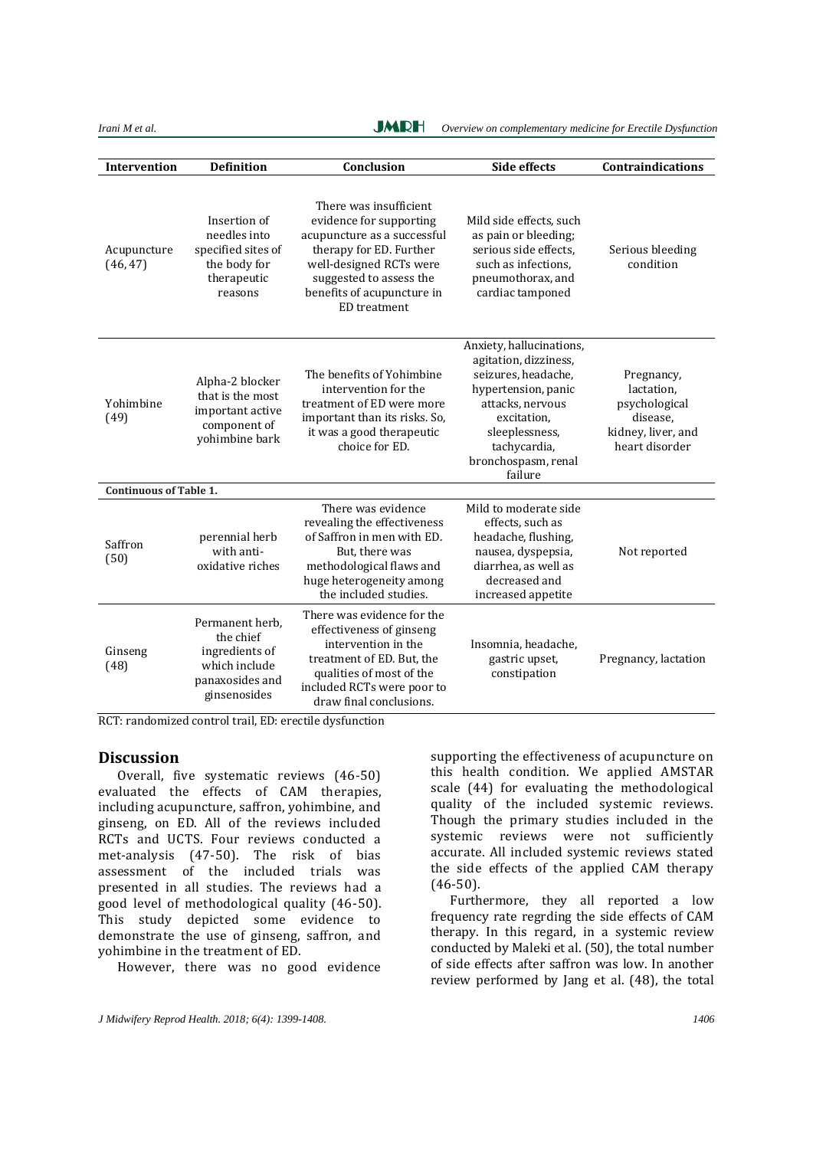*Irani M et al. Irani M et al. Overview on complementary medicine for Erectile Dysfunction* **JMRH** 

| <b>Intervention</b>           | <b>Definition</b>                                                                                  | Conclusion                                                                                                                                                                                                             | <b>Side effects</b>                                                                                                                                                                                    | <b>Contraindications</b>                                                                      |
|-------------------------------|----------------------------------------------------------------------------------------------------|------------------------------------------------------------------------------------------------------------------------------------------------------------------------------------------------------------------------|--------------------------------------------------------------------------------------------------------------------------------------------------------------------------------------------------------|-----------------------------------------------------------------------------------------------|
| Acupuncture<br>(46, 47)       | Insertion of<br>needles into<br>specified sites of<br>the body for<br>therapeutic<br>reasons       | There was insufficient<br>evidence for supporting<br>acupuncture as a successful<br>therapy for ED. Further<br>well-designed RCTs were<br>suggested to assess the<br>benefits of acupuncture in<br><b>ED</b> treatment | Mild side effects, such<br>as pain or bleeding;<br>serious side effects.<br>such as infections.<br>pneumothorax, and<br>cardiac tamponed                                                               | Serious bleeding<br>condition                                                                 |
| Yohimbine<br>(49)             | Alpha-2 blocker<br>that is the most<br>important active<br>component of<br>yohimbine bark          | The benefits of Yohimbine<br>intervention for the<br>treatment of ED were more<br>important than its risks. So,<br>it was a good therapeutic<br>choice for ED.                                                         | Anxiety, hallucinations,<br>agitation, dizziness,<br>seizures, headache,<br>hypertension, panic<br>attacks, nervous<br>excitation,<br>sleeplessness,<br>tachycardia,<br>bronchospasm, renal<br>failure | Pregnancy,<br>lactation,<br>psychological<br>disease,<br>kidney, liver, and<br>heart disorder |
| <b>Continuous of Table 1.</b> |                                                                                                    |                                                                                                                                                                                                                        |                                                                                                                                                                                                        |                                                                                               |
| Saffron<br>(50)               | perennial herb<br>with anti-<br>oxidative riches                                                   | There was evidence<br>revealing the effectiveness<br>of Saffron in men with ED.<br>But, there was<br>methodological flaws and<br>huge heterogeneity among<br>the included studies.                                     | Mild to moderate side<br>effects, such as<br>headache, flushing,<br>nausea, dyspepsia,<br>diarrhea, as well as<br>decreased and<br>increased appetite                                                  | Not reported                                                                                  |
| Ginseng<br>(48)               | Permanent herb,<br>the chief<br>ingredients of<br>which include<br>panaxosides and<br>ginsenosides | There was evidence for the<br>effectiveness of ginseng<br>intervention in the<br>treatment of ED. But, the<br>qualities of most of the<br>included RCTs were poor to<br>draw final conclusions.                        | Insomnia, headache,<br>gastric upset,<br>constipation                                                                                                                                                  | Pregnancy, lactation                                                                          |

RCT: randomized control trail, ED: erectile dysfunction

#### **Discussion**

Overall, five systematic reviews (46-50) evaluated the effects of CAM therapies, including acupuncture, saffron, yohimbine, and ginseng, on ED. All of the reviews included RCTs and UCTS. Four reviews conducted a met-analysis (47-50). The risk of bias assessment of the included trials was presented in all studies. The reviews had a good level of methodological quality (46-50). This study depicted some evidence to demonstrate the use of ginseng, saffron, and yohimbine in the treatment of ED.

However, there was no good evidence

supporting the effectiveness of acupuncture on this health condition. We applied AMSTAR scale (44) for evaluating the methodological quality of the included systemic reviews. Though the primary studies included in the systemic reviews were not sufficiently accurate. All included systemic reviews stated the side effects of the applied CAM therapy (46-50).

Furthermore, they all reported a low frequency rate regrding the side effects of CAM therapy. In this regard, in a systemic review conducted by Maleki et al. (50), the total number of side effects after saffron was low. In another review performed by Jang et al. (48), the total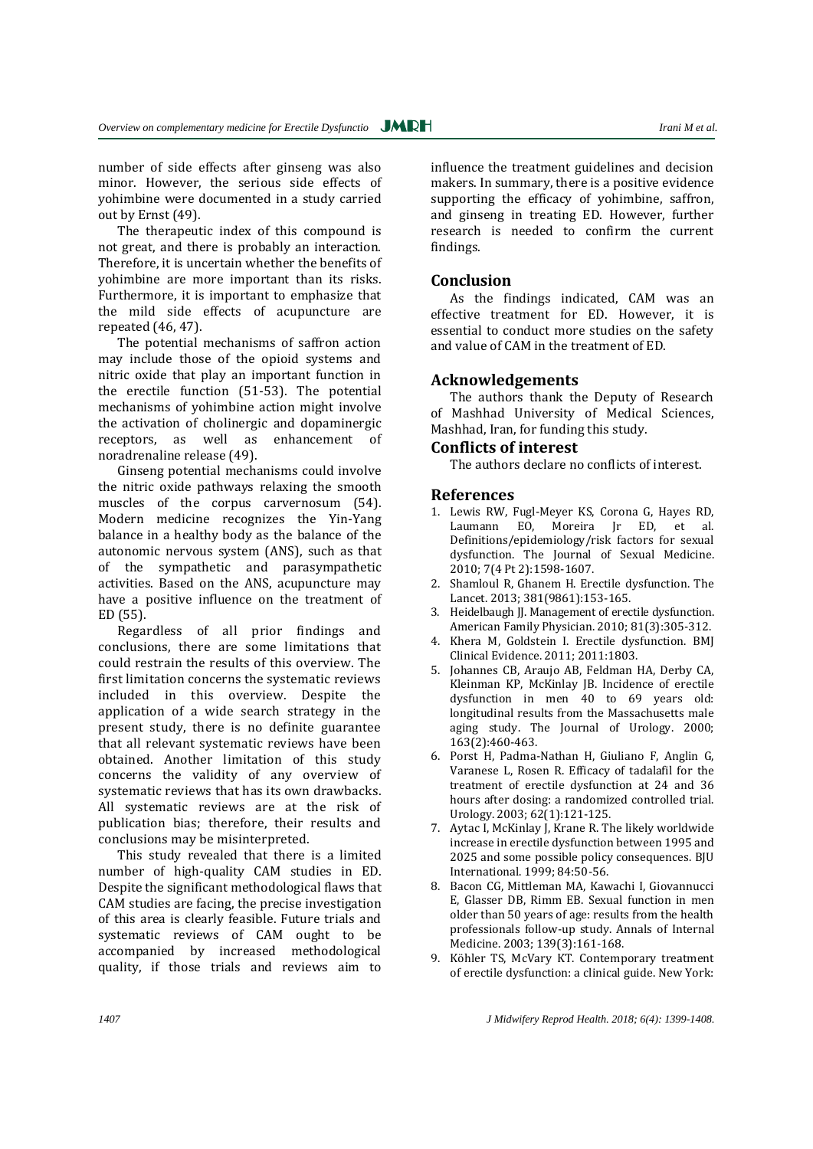number of side effects after ginseng was also minor. However, the serious side effects of yohimbine were documented in a study carried out by Ernst (49).

The therapeutic index of this compound is not great, and there is probably an interaction. Therefore, it is uncertain whether the benefits of yohimbine are more important than its risks. Furthermore, it is important to emphasize that the mild side effects of acupuncture are repeated (46, 47).

The potential mechanisms of saffron action may include those of the opioid systems and nitric oxide that play an important function in the erectile function (51-53). The potential mechanisms of yohimbine action might involve the activation of cholinergic and dopaminergic receptors, as well as enhancement of noradrenaline release (49).

Ginseng potential mechanisms could involve the nitric oxide pathways relaxing the smooth muscles of the corpus carvernosum (54). Modern medicine recognizes the Yin-Yang balance in a healthy body as the balance of the autonomic nervous system (ANS), such as that of the sympathetic and parasympathetic activities. Based on the ANS, acupuncture may have a positive influence on the treatment of ED (55).

Regardless of all prior findings and conclusions, there are some limitations that could restrain the results of this overview. The first limitation concerns the systematic reviews included in this overview. Despite the application of a wide search strategy in the present study, there is no definite guarantee that all relevant systematic reviews have been obtained. Another limitation of this study concerns the validity of any overview of systematic reviews that has its own drawbacks. All systematic reviews are at the risk of publication bias; therefore, their results and conclusions may be misinterpreted.

This study revealed that there is a limited number of high-quality CAM studies in ED. Despite the significant methodological flaws that CAM studies are facing, the precise investigation of this area is clearly feasible. Future trials and systematic reviews of CAM ought to be accompanied by increased methodological quality, if those trials and reviews aim to

influence the treatment guidelines and decision makers. In summary, there is a positive evidence supporting the efficacy of yohimbine, saffron, and ginseng in treating ED. However, further research is needed to confirm the current findings.

# **Conclusion**

As the findings indicated, CAM was an effective treatment for ED. However, it is essential to conduct more studies on the safety and value of CAM in the treatment of ED.

# **Acknowledgements**

The authors thank the Deputy of Research of Mashhad University of Medical Sciences, Mashhad, Iran, for funding this study.

# **Conflicts of interest**

The authors declare no conflicts of interest.

## **References**

- 1. Lewis RW, Fugl‐Meyer KS, Corona G, Hayes RD, Laumann EO, Moreira Jr ED, et al. Definitions/epidemiology/risk factors for sexual dysfunction. The Journal of Sexual Medicine. 2010; 7(4 Pt 2):1598-1607.
- 2. Shamloul R, Ghanem H. Erectile dysfunction. The Lancet. 2013; 381(9861):153-165.
- 3. Heidelbaugh JJ. Management of erectile dysfunction. American Family Physician. 2010; 81(3):305-312.
- 4. Khera M, Goldstein I. Erectile dysfunction. BMJ Clinical Evidence. 2011; 2011:1803.
- 5. Johannes CB, Araujo AB, Feldman HA, Derby CA, Kleinman KP, McKinlay JB. Incidence of erectile dysfunction in men 40 to 69 years old: longitudinal results from the Massachusetts male aging study. The Journal of Urology. 2000; 163(2):460-463.
- 6. Porst H, Padma-Nathan H, Giuliano F, Anglin G, Varanese L, Rosen R. Efficacy of tadalafil for the treatment of erectile dysfunction at 24 and 36 hours after dosing: a randomized controlled trial. Urology. 2003; 62(1):121-125.
- 7. Aytac I, McKinlay J, Krane R. The likely worldwide increase in erectile dysfunction between 1995 and 2025 and some possible policy consequences. BJU International. 1999; 84:50-56.
- 8. Bacon CG, Mittleman MA, Kawachi I, Giovannucci E, Glasser DB, Rimm EB. Sexual function in men older than 50 years of age: results from the health professionals follow-up study. Annals of Internal Medicine. 2003; 139(3):161-168.
- 9. Köhler TS, McVary KT. Contemporary treatment of erectile dysfunction: a clinical guide. New York:

*1407 J Midwifery Reprod Health. 2018; 6(4): 1399-1408.*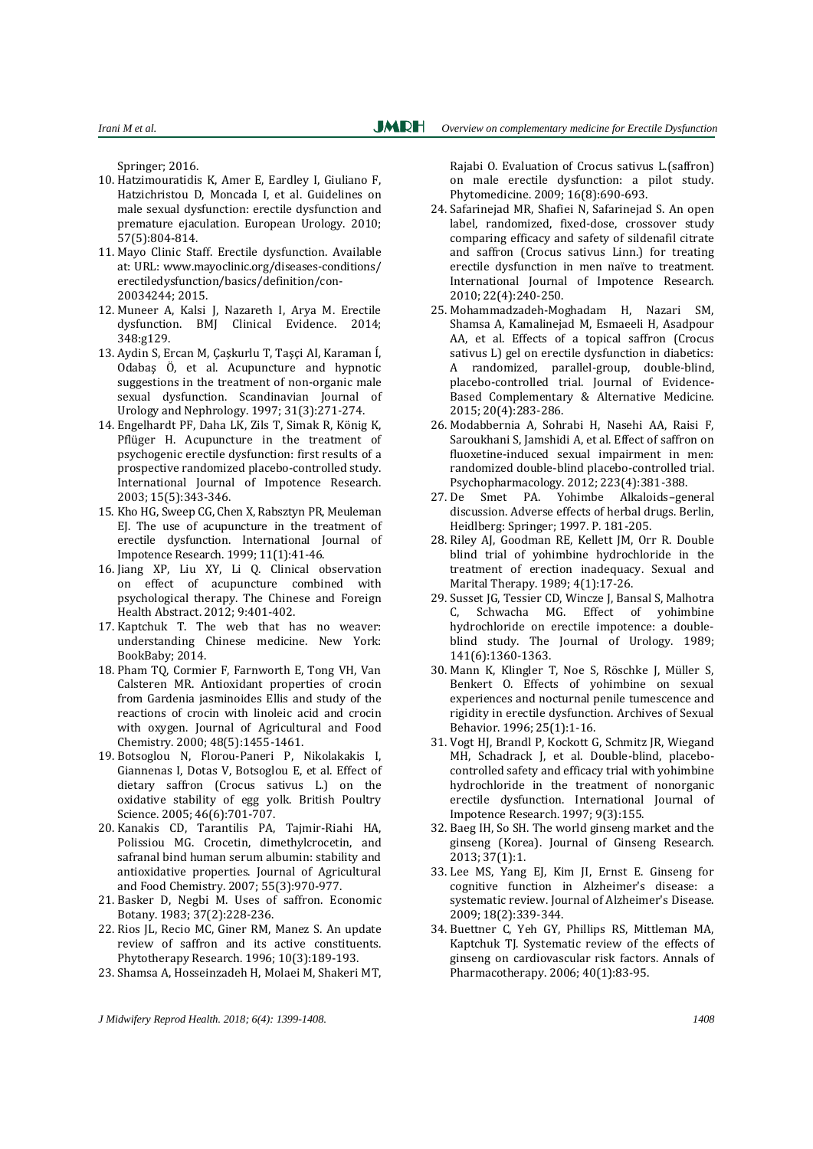Springer; 2016.

- 10. Hatzimouratidis K, Amer E, Eardley I, Giuliano F, Hatzichristou D, Moncada I, et al. Guidelines on male sexual dysfunction: erectile dysfunction and premature ejaculation. European Urology. 2010; 57(5):804-814.
- 11. Mayo Clinic Staff. Erectile dysfunction. Available at: URL: [www.mayoclinic.org/diseases-conditions/](http://www.mayoclinic.org/diseases-conditions/) erectiledysfunction/basics/definition/con-20034244; 2015.
- 12. Muneer A, Kalsi J, Nazareth I, Arya M. Erectile dysfunction. BMJ Clinical Evidence. 2014; 348:g129.
- 13. Aydin S, Ercan M, Çaşkurlu T, Taşçi AI, Karaman Í, Odabaş Ö, et al. Acupuncture and hypnotic suggestions in the treatment of non-organic male sexual dysfunction. Scandinavian Journal of Urology and Nephrology. 1997; 31(3):271-274.
- 14. Engelhardt PF, Daha LK, Zils T, Simak R, König K, Pflüger H. Acupuncture in the treatment of psychogenic erectile dysfunction: first results of a prospective randomized placebo-controlled study. International Journal of Impotence Research. 2003; 15(5):343-346.
- 15. Kho HG, Sweep CG, Chen X, Rabsztyn PR, Meuleman EJ. The use of acupuncture in the treatment of erectile dysfunction. International Journal of Impotence Research. 1999; 11(1):41-46.
- 16. Jiang XP, Liu XY, Li Q. Clinical observation on effect of acupuncture combined with psychological therapy. The Chinese and Foreign Health Abstract. 2012; 9:401-402.
- 17. Kaptchuk T. The web that has no weaver: understanding Chinese medicine. New York: BookBaby; 2014.
- 18. Pham TQ, Cormier F, Farnworth E, Tong VH, Van Calsteren MR. Antioxidant properties of crocin from Gardenia jasminoides Ellis and study of the reactions of crocin with linoleic acid and crocin with oxygen. Journal of Agricultural and Food Chemistry. 2000; 48(5):1455-1461.
- 19. Botsoglou N, Florou-Paneri P, Nikolakakis I, Giannenas I, Dotas V, Botsoglou E, et al. Effect of dietary saffron (Crocus sativus L.) on the oxidative stability of egg yolk. British Poultry Science. 2005; 46(6):701-707.
- 20. Kanakis CD, Tarantilis PA, Tajmir-Riahi HA, Polissiou MG. Crocetin, dimethylcrocetin, and safranal bind human serum albumin: stability and antioxidative properties. Journal of Agricultural and Food Chemistry. 2007; 55(3):970-977.
- 21. Basker D, Negbi M. Uses of saffron. Economic Botany. 1983; 37(2):228-236.
- 22. Rios JL, Recio MC, Giner RM, Manez S. An update review of saffron and its active constituents. Phytotherapy Research. 1996; 10(3):189-193.
- 23. Shamsa A, Hosseinzadeh H, Molaei M, Shakeri MT,

Rajabi O. Evaluation of Crocus sativus L.(saffron) on male erectile dysfunction: a pilot study. Phytomedicine. 2009; 16(8):690-693.

- 24. Safarinejad MR, Shafiei N, Safarinejad S. An open label, randomized, fixed-dose, crossover study comparing efficacy and safety of sildenafil citrate and saffron (Crocus sativus Linn.) for treating erectile dysfunction in men naïve to treatment. International Journal of Impotence Research. 2010; 22(4):240-250.
- 25. Mohammadzadeh-Moghadam H, Nazari SM, Shamsa A, Kamalinejad M, Esmaeeli H, Asadpour AA, et al. Effects of a topical saffron (Crocus sativus L) gel on erectile dysfunction in diabetics: A randomized, parallel-group, double-blind, placebo-controlled trial. Journal of Evidence-Based Complementary & Alternative Medicine. 2015; 20(4):283-286.
- 26. Modabbernia A, Sohrabi H, Nasehi AA, Raisi F, Saroukhani S, Jamshidi A, et al. Effect of saffron on fluoxetine-induced sexual impairment in men: randomized double-blind placebo-controlled trial. Psychopharmacology. 2012; 223(4):381-388.
- 27. De Smet PA. Yohimbe Alkaloids–general discussion. Adverse effects of herbal drugs. Berlin, Heidlberg: Springer; 1997. P. 181-205.
- 28. Riley AJ, Goodman RE, Kellett JM, Orr R. Double blind trial of yohimbine hydrochloride in the treatment of erection inadequacy. Sexual and Marital Therapy. 1989; 4(1):17-26.
- 29. Susset JG, Tessier CD, Wincze J, Bansal S, Malhotra C, Schwacha MG. Effect of yohimbine hydrochloride on erectile impotence: a doubleblind study. The Journal of Urology. 1989; 141(6):1360-1363.
- 30. Mann K, Klingler T, Noe S, Röschke J, Müller S, Benkert O. Effects of yohimbine on sexual experiences and nocturnal penile tumescence and rigidity in erectile dysfunction. Archives of Sexual Behavior. 1996; 25(1):1-16.
- 31. Vogt HJ, Brandl P, Kockott G, Schmitz JR, Wiegand MH, Schadrack J, et al. Double-blind, placebocontrolled safety and efficacy trial with yohimbine hydrochloride in the treatment of nonorganic erectile dysfunction. International Journal of Impotence Research. 1997; 9(3):155.
- 32. Baeg IH, So SH. The world ginseng market and the ginseng (Korea). Journal of Ginseng Research. 2013; 37(1):1.
- 33. Lee MS, Yang EJ, Kim JI, Ernst E. Ginseng for cognitive function in Alzheimer's disease: a systematic review. Journal of Alzheimer's Disease. 2009; 18(2):339-344.
- 34. Buettner C, Yeh GY, Phillips RS, Mittleman MA, Kaptchuk TJ. Systematic review of the effects of ginseng on cardiovascular risk factors. Annals of Pharmacotherapy. 2006; 40(1):83-95.